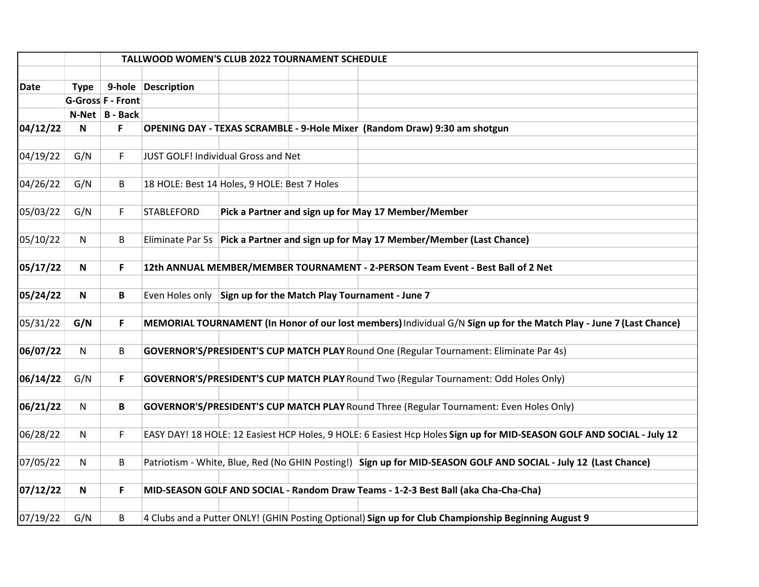|             | TALLWOOD WOMEN'S CLUB 2022 TOURNAMENT SCHEDULE |                          |                                                                                                                       |  |  |  |
|-------------|------------------------------------------------|--------------------------|-----------------------------------------------------------------------------------------------------------------------|--|--|--|
| <b>Date</b> | <b>Type</b>                                    |                          | 9-hole Description                                                                                                    |  |  |  |
|             |                                                | <b>G-Gross F - Front</b> |                                                                                                                       |  |  |  |
|             |                                                | N-Net B - Back           |                                                                                                                       |  |  |  |
| 04/12/22    | Ν                                              | F                        | OPENING DAY - TEXAS SCRAMBLE - 9-Hole Mixer (Random Draw) 9:30 am shotgun                                             |  |  |  |
|             |                                                |                          |                                                                                                                       |  |  |  |
| 04/19/22    | G/N                                            | F                        | JUST GOLF! Individual Gross and Net                                                                                   |  |  |  |
|             |                                                |                          |                                                                                                                       |  |  |  |
| 04/26/22    | G/N                                            | B                        | 18 HOLE: Best 14 Holes, 9 HOLE: Best 7 Holes                                                                          |  |  |  |
|             |                                                |                          |                                                                                                                       |  |  |  |
| 05/03/22    | G/N                                            | F                        | Pick a Partner and sign up for May 17 Member/Member<br><b>STABLEFORD</b>                                              |  |  |  |
|             |                                                |                          |                                                                                                                       |  |  |  |
| 05/10/22    | N                                              | B                        | Eliminate Par 5s Pick a Partner and sign up for May 17 Member/Member (Last Chance)                                    |  |  |  |
|             |                                                |                          |                                                                                                                       |  |  |  |
| 05/17/22    | N                                              | F                        | 12th ANNUAL MEMBER/MEMBER TOURNAMENT - 2-PERSON Team Event - Best Ball of 2 Net                                       |  |  |  |
|             |                                                |                          |                                                                                                                       |  |  |  |
| 05/24/22    | N                                              | B                        | Even Holes only Sign up for the Match Play Tournament - June 7                                                        |  |  |  |
| 05/31/22    | G/N                                            | F                        | MEMORIAL TOURNAMENT (In Honor of our lost members) Individual G/N Sign up for the Match Play - June 7 (Last Chance)   |  |  |  |
|             |                                                |                          |                                                                                                                       |  |  |  |
| 06/07/22    | $\mathsf{N}$                                   | B                        | GOVERNOR'S/PRESIDENT'S CUP MATCH PLAY Round One (Regular Tournament: Eliminate Par 4s)                                |  |  |  |
|             |                                                |                          |                                                                                                                       |  |  |  |
| 06/14/22    | G/N                                            | F                        | <b>GOVERNOR'S/PRESIDENT'S CUP MATCH PLAY Round Two (Regular Tournament: Odd Holes Only)</b>                           |  |  |  |
|             |                                                |                          |                                                                                                                       |  |  |  |
| 06/21/22    | $\mathsf{N}$                                   | B                        | <b>GOVERNOR'S/PRESIDENT'S CUP MATCH PLAY Round Three (Regular Tournament: Even Holes Only)</b>                        |  |  |  |
|             |                                                |                          |                                                                                                                       |  |  |  |
| 06/28/22    | $\mathsf{N}$                                   | F                        | EASY DAY! 18 HOLE: 12 Easiest HCP Holes, 9 HOLE: 6 Easiest Hcp Holes Sign up for MID-SEASON GOLF AND SOCIAL - July 12 |  |  |  |
|             |                                                |                          |                                                                                                                       |  |  |  |
| 07/05/22    | N                                              | B                        | Patriotism - White, Blue, Red (No GHIN Posting!) Sign up for MID-SEASON GOLF AND SOCIAL - July 12 (Last Chance)       |  |  |  |
|             |                                                |                          |                                                                                                                       |  |  |  |
| 07/12/22    | N                                              | F                        | MID-SEASON GOLF AND SOCIAL - Random Draw Teams - 1-2-3 Best Ball (aka Cha-Cha-Cha)                                    |  |  |  |
|             |                                                |                          |                                                                                                                       |  |  |  |
| 07/19/22    | G/N                                            | B                        | 4 Clubs and a Putter ONLY! (GHIN Posting Optional) Sign up for Club Championship Beginning August 9                   |  |  |  |